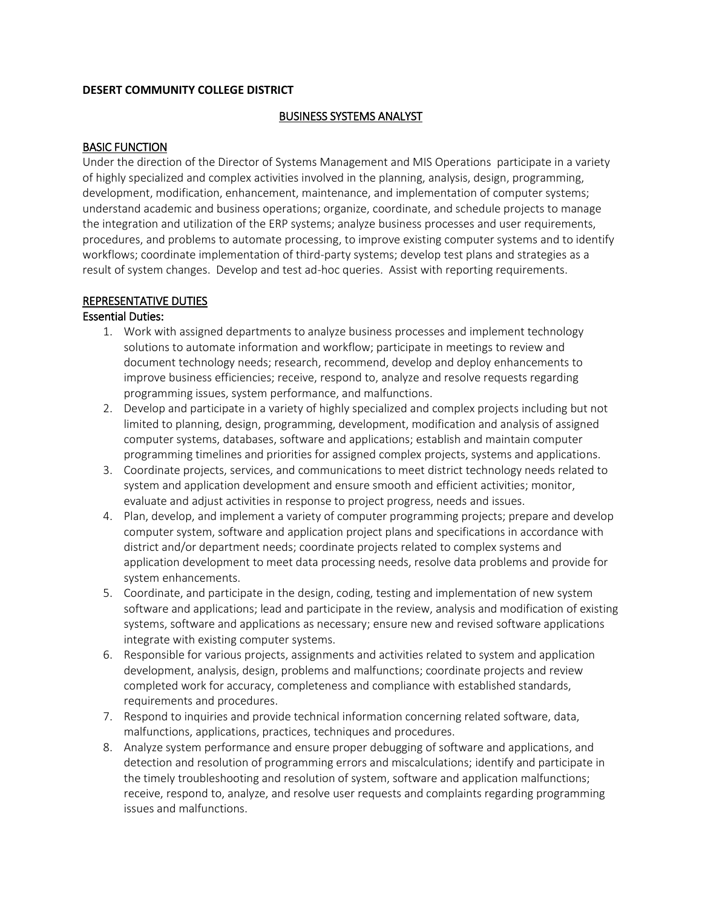#### **DESERT COMMUNITY COLLEGE DISTRICT**

### BUSINESS SYSTEMS ANALYST

### BASIC FUNCTION

 Under the direction of the Director of Systems Management and MIS Operations participate in a variety procedures, and problems to automate processing, to improve existing computer systems and to identify result of system changes. Develop and test ad-hoc queries. Assist with reporting requirements. of highly specialized and complex activities involved in the planning, analysis, design, programming, development, modification, enhancement, maintenance, and implementation of computer systems; understand academic and business operations; organize, coordinate, and schedule projects to manage the integration and utilization of the ERP systems; analyze business processes and user requirements, workflows; coordinate implementation of third-party systems; develop test plans and strategies as a

#### REPRESENTATIVE DUTIES

# Essential Duties:

- 1. Work with assigned departments to analyze business processes and implement technology solutions to automate information and workflow; participate in meetings to review and document technology needs; research, recommend, develop and deploy enhancements to improve business efficiencies; receive, respond to, analyze and resolve requests regarding programming issues, system performance, and malfunctions.
- 2. Develop and participate in a variety of highly specialized and complex projects including but not limited to planning, design, programming, development, modification and analysis of assigned computer systems, databases, software and applications; establish and maintain computer programming timelines and priorities for assigned complex projects, systems and applications.
- evaluate and adjust activities in response to project progress, needs and issues. 3. Coordinate projects, services, and communications to meet district technology needs related to system and application development and ensure smooth and efficient activities; monitor,
- 4. Plan, develop, and implement a variety of computer programming projects; prepare and develop computer system, software and application project plans and specifications in accordance with district and/or department needs; coordinate projects related to complex systems and application development to meet data processing needs, resolve data problems and provide for system enhancements.
- 5. Coordinate, and participate in the design, coding, testing and implementation of new system software and applications; lead and participate in the review, analysis and modification of existing systems, software and applications as necessary; ensure new and revised software applications integrate with existing computer systems.
- 6. Responsible for various projects, assignments and activities related to system and application development, analysis, design, problems and malfunctions; coordinate projects and review completed work for accuracy, completeness and compliance with established standards, requirements and procedures.
- 7. Respond to inquiries and provide technical information concerning related software, data, malfunctions, applications, practices, techniques and procedures.
- detection and resolution of programming errors and miscalculations; identify and participate in the timely troubleshooting and resolution of system, software and application malfunctions; 8. Analyze system performance and ensure proper debugging of software and applications, and receive, respond to, analyze, and resolve user requests and complaints regarding programming issues and malfunctions.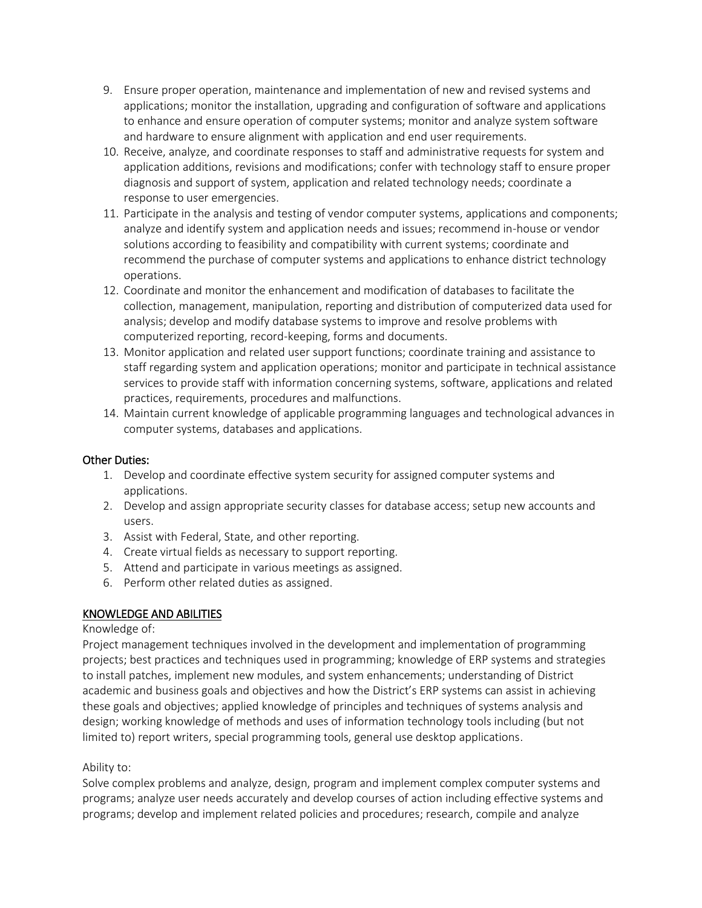- 9. Ensure proper operation, maintenance and implementation of new and revised systems and applications; monitor the installation, upgrading and configuration of software and applications to enhance and ensure operation of computer systems; monitor and analyze system software and hardware to ensure alignment with application and end user requirements.
- 10. Receive, analyze, and coordinate responses to staff and administrative requests for system and application additions, revisions and modifications; confer with technology staff to ensure proper diagnosis and support of system, application and related technology needs; coordinate a response to user emergencies.
- 11. Participate in the analysis and testing of vendor computer systems, applications and components; analyze and identify system and application needs and issues; recommend in-house or vendor solutions according to feasibility and compatibility with current systems; coordinate and recommend the purchase of computer systems and applications to enhance district technology operations.
- 12. Coordinate and monitor the enhancement and modification of databases to facilitate the collection, management, manipulation, reporting and distribution of computerized data used for analysis; develop and modify database systems to improve and resolve problems with computerized reporting, record-keeping, forms and documents.
- 13. Monitor application and related user support functions; coordinate training and assistance to staff regarding system and application operations; monitor and participate in technical assistance services to provide staff with information concerning systems, software, applications and related practices, requirements, procedures and malfunctions.
- 14. Maintain current knowledge of applicable programming languages and technological advances in computer systems, databases and applications.

# Other Duties:

- 1. Develop and coordinate effective system security for assigned computer systems and applications.
- 2. Develop and assign appropriate security classes for database access; setup new accounts and users.
- 3. Assist with Federal, State, and other reporting.
- 4. Create virtual fields as necessary to support reporting.
- 5. Attend and participate in various meetings as assigned.
- 6. Perform other related duties as assigned.

# KNOWLEDGE AND ABILITIES

### Knowledge of:

 to install patches, implement new modules, and system enhancements; understanding of District academic and business goals and objectives and how the District's ERP systems can assist in achieving Project management techniques involved in the development and implementation of programming projects; best practices and techniques used in programming; knowledge of ERP systems and strategies these goals and objectives; applied knowledge of principles and techniques of systems analysis and design; working knowledge of methods and uses of information technology tools including (but not limited to) report writers, special programming tools, general use desktop applications.

### Ability to:

Solve complex problems and analyze, design, program and implement complex computer systems and programs; analyze user needs accurately and develop courses of action including effective systems and programs; develop and implement related policies and procedures; research, compile and analyze